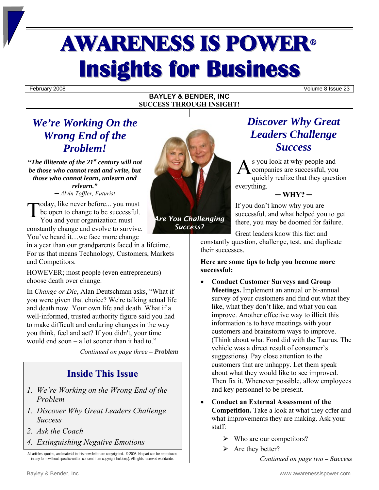## AWARENESS IS POWER<sup>ü</sup> **Insights for Business**

February 2008 Volume 8 Issue 23

#### **BAYLEY & BENDER, INC SUCCESS THROUGH INSIGHT!**

## *We're Working On the Wrong End of the Problem!*

*"The illiterate of the 21st century will not be those who cannot read and write, but those who cannot learn, unlearn and relearn." ─ Alvin Toffler, Futurist* 

Today, like never before... you must<br>be open to change to be successful.<br>You and your organization must be open to change to be successful. You and your organization must constantly change and evolve to survive. You've heard it…we face more change

in a year than our grandparents faced in a lifetime. For us that means Technology, Customers, Markets and Competitors.

HOWEVER; most people (even entrepreneurs) choose death over change.

In *Change or Die*, Alan Deutschman asks, "What if you were given that choice? We're talking actual life and death now. Your own life and death. What if a well-informed, trusted authority figure said you had to make difficult and enduring changes in the way you think, feel and act? If you didn't, your time would end soon – a lot sooner than it had to."

*Continued on page three – Problem*

## **Inside This Issue**

- *1. We're Working on the Wrong End of the Problem*
- *1. Discover Why Great Leaders Challenge Success*
- *2. Ask the Coach*
- *4. Extinguishing Negative Emotions*



*Success?* 

Great leaders know this fact and

If you don't know why you are

*Discover Why Great* 

*Leaders Challenge Success* 

s you look at why people and companies are successful, you quickly realize that they question

**─ WHY? ─**

successful, and what helped you to get there, you may be doomed for failure.

constantly question, challenge, test, and duplicate their successes.

everything.

A

**Here are some tips to help you become more successful:** 

- **Conduct Customer Surveys and Group Meetings.** Implement an annual or bi-annual survey of your customers and find out what they like, what they don't like, and what you can improve. Another effective way to illicit this information is to have meetings with your customers and brainstorm ways to improve. (Think about what Ford did with the Taurus. The vehicle was a direct result of consumer's suggestions). Pay close attention to the customers that are unhappy. Let them speak about what they would like to see improved. Then fix it. Whenever possible, allow employees and key personnel to be present.
- **Conduct an External Assessment of the Competition.** Take a look at what they offer and what improvements they are making. Ask your staff:
	- $\triangleright$  Who are our competitors?
	- $\triangleright$  Are they better?

*Continued on page two – Success*

All articles, quotes, and material in this newsletter are copyrighted. © 2008. No part can be reproduced in any form without specific written consent from copyright holder(s). All rights reserved worldwide.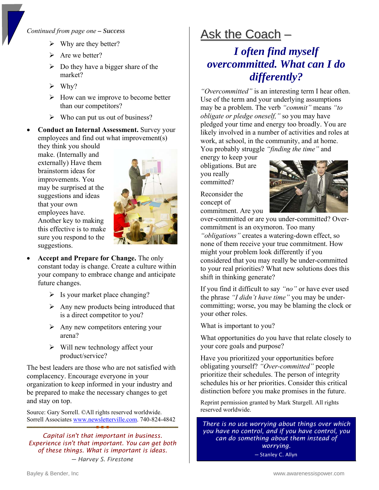### *Continued from page one – Success*

- $\triangleright$  Why are they better?
- $\triangleright$  Are we better?
- $\triangleright$  Do they have a bigger share of the market?
- $\triangleright$  Why?
- $\triangleright$  How can we improve to become better than our competitors?
- $\triangleright$  Who can put us out of business?
- **Conduct an Internal Assessment.** Survey your employees and find out what improvement(s)

they think you should make. (Internally and externally) Have them brainstorm ideas for improvements. You may be surprised at the suggestions and ideas that your own employees have. Another key to making this effective is to make sure you respond to the suggestions.



- **Accept and Prepare for Change.** The only constant today is change. Create a culture within your company to embrace change and anticipate future changes.
	- $\triangleright$  Is your market place changing?
	- $\triangleright$  Any new products being introduced that is a direct competitor to you?
	- $\triangleright$  Any new competitors entering your arena?
	- $\triangleright$  Will new technology affect your product/service?

The best leaders are those who are not satisfied with complacency. Encourage everyone in your organization to keep informed in your industry and be prepared to make the necessary changes to get and stay on top.

Source: Gary Sorrell. ©All rights reserved worldwide. Sorrell Associates [www.newsletterville.com](http://www.newsletterville.com/). 740-824-4842

*Capital isn't that important in business. Experience isn't that important. You can get both of these things. What is important is ideas. ─ Harvey S. Firestone*

# Ask the Coach -

## *I often find myself overcommitted. What can I do differently?*

*"Overcommitted"* is an interesting term I hear often. Use of the term and your underlying assumptions may be a problem. The verb *"commit"* means *"to obligate or pledge oneself,"* so you may have pledged your time and energy too broadly. You are likely involved in a number of activities and roles at work, at school, in the community, and at home. You probably struggle *"finding the time"* and

energy to keep your obligations. But are you really committed?

Reconsider the concept of commitment. Are you



over-committed or are you under-committed? Overcommitment is an oxymoron. Too many

*"obligations"* creates a watering-down effect, so none of them receive your true commitment. How might your problem look differently if you considered that you may really be under-committed to your real priorities? What new solutions does this shift in thinking generate?

If you find it difficult to say *"no"* or have ever used the phrase *"I didn't have time"* you may be undercommitting; worse, you may be blaming the clock or your other roles.

What is important to you?

What opportunities do you have that relate closely to your core goals and purpose?

Have you prioritized your opportunities before obligating yourself? *"Over-committed"* people prioritize their schedules. The person of integrity schedules his or her priorities. Consider this critical distinction before you make promises in the future.

Reprint permission granted by Mark Sturgell. All rights reserved worldwide.

*There is no use worrying about things over which you have no control, and if you have control, you can do something about them instead of worrying.*

─ Stanley C. Allyn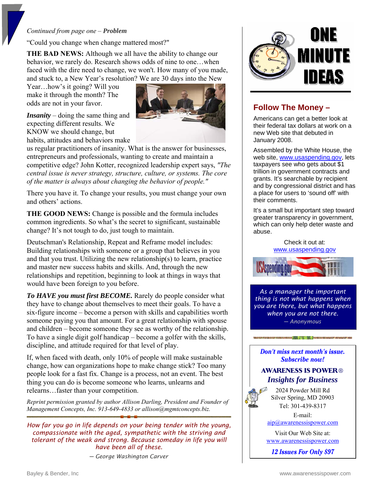#### *Continued from page one – Problem*

"Could you change when change mattered most?"

**THE BAD NEWS:** Although we all have the ability to change our behavior, we rarely do. Research shows odds of nine to one…when faced with the dire need to change, we won't. How many of you made, and stuck to, a New Year's resolution? We are 30 days into the New

Year…how's it going? Will you make it through the month? The odds are not in your favor.

*Insanity* – doing the same thing and expecting different results. We KNOW we should change, but habits, attitudes and behaviors make



us regular practitioners of insanity. What is the answer for businesses, entrepreneurs and professionals, wanting to create and maintain a competitive edge? John Kotter, recognized leadership expert says, *"The central issue is never strategy, structure, culture, or systems. The core of the matter is always about changing the behavior of people."*

There you have it. To change your results, you must change your own and others' actions.

**THE GOOD NEWS:** Change is possible and the formula includes common ingredients. So what's the secret to significant, sustainable change? It's not tough to do, just tough to maintain.

Deutschman's Relationship, Repeat and Reframe model includes: Building relationships with someone or a group that believes in you and that you trust. Utilizing the new relationship(s) to learn, practice and master new success habits and skills. And, through the new relationships and repetition, beginning to look at things in ways that would have been foreign to you before.

*To HAVE you must first BECOME.* Rarely do people consider what they have to change about themselves to meet their goals. To have a six-figure income – become a person with skills and capabilities worth someone paying you that amount. For a great relationship with spouse and children – become someone they see as worthy of the relationship. To have a single digit golf handicap – become a golfer with the skills, discipline, and attitude required for that level of play.

If, when faced with death, only 10% of people will make sustainable change, how can organizations hope to make change stick? Too many people look for a fast fix. Change is a process, not an event. The best thing you can do is become someone who learns, unlearns and relearns…faster than your competition.

*Reprint permission granted by author Allison Darling, President and Founder of Management Concepts, Inc. 913-649-4833 or allison@mgmtconcepts.biz.*

*How far you go in life depends on your being tender with the young, compassionate with the aged, sympathetic with the striving and tolerant of the weak and strong. Because someday in life you will have been all of these.* 

*─ George Washington Carver*



## **Follow The Money –**

Americans can get a better look at their federal tax dollars at work on a new Web site that debuted in January 2008.

Assembled by the White House, the web site, [www.usaspending.gov](http://www.usaspending.gov/), lets taxpayers see who gets about \$1 trillion in government contracts and grants. It's searchable by recipient and by congressional district and has a place for users to 'sound off' with their comments.

It's a small but important step toward greater transparency in government, which can only help deter waste and abuse.

> Check it out at: [www.usaspending.gov](http://www.usaspending.gov/)



*As a manager the important thing is not what happens when you are there, but what happens when you are not there. ─ Anonymous* 

Don't miss next month's issue. Subscribe now!

## **AWARENESS IS POWER®** *Insights for Business*

2024 Powder Mill Rd Silver Spring, MD 20903 Tel: 301-439-8317

E-mail:

[aip@awarenessispower.com](mailto:aip@awarenessispower.com)

Visit Our Web Site at: [www.awarenessispower.com](http://www.awarenessispower.com/)

12 **Issues For Only \$97**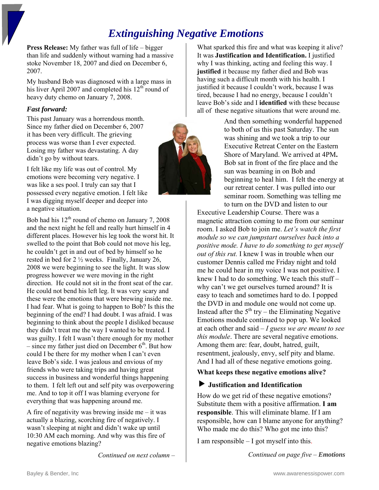## *Extinguishing Negative Emotions*

**Press Release:** My father was full of life – bigger than life and suddenly without warning had a massive stoke November 18, 2007 and died on December 6, 2007.

My husband Bob was diagnosed with a large mass in his liver April 2007 and completed his  $12<sup>th</sup>$  round of heavy duty chemo on January 7, 2008.

## *Fast forward:*

This past January was a horrendous month. Since my father died on December 6, 2007 it has been very difficult. The grieving process was worse than I ever expected. Losing my father was devastating. A day didn't go by without tears.

I felt like my life was out of control. My emotions were becoming very negative. I was like a ses pool. I truly can say that I possessed every negative emotion. I felt like I was digging myself deeper and deeper into a negative situation.

Bob had his  $12<sup>th</sup>$  round of chemo on January 7, 2008 and the next night he fell and really hurt himself in 4 different places. However his leg took the worst hit. It swelled to the point that Bob could not move his leg, he couldn't get in and out of bed by himself so he rested in bed for 2 ½ weeks. Finally, January 26, 2008 we were beginning to see the light. It was slow progress however we were moving in the right direction. He could not sit in the front seat of the car. He could not bend his left leg. It was very scary and these were the emotions that were brewing inside me. I had fear. What is going to happen to Bob? Is this the beginning of the end? I had doubt. I was afraid. I was beginning to think about the people I disliked because they didn't treat me the way I wanted to be treated. I was guilty. I felt I wasn't there enough for my mother – since my father just died on December  $6<sup>th</sup>$ . But how could I be there for my mother when I can't even leave Bob's side. I was jealous and envious of my friends who were taking trips and having great success in business and wonderful things happening to them. I felt left out and self pity was overpowering me. And to top it off I was blaming everyone for everything that was happening around me.

A fire of negativity was brewing inside me – it was actually a blazing, scorching fire of negatively. I wasn't sleeping at night and didn't wake up until 10:30 AM each morning. And why was this fire of negative emotions blazing?

*Continued on next column –* 

What sparked this fire and what was keeping it alive? It was **Justification and Identification.** I justified why I was thinking, acting and feeling this way. I **justified** it because my father died and Bob was having such a difficult month with his health. I justified it because I couldn't work, because I was tired, because I had no energy, because I couldn't leave Bob's side and I **identified** with these because all of these negative situations that were around me.

> And then something wonderful happened to both of us this past Saturday. The sun was shining and we took a trip to our Executive Retreat Center on the Eastern Shore of Maryland. We arrived at 4PM**.** Bob sat in front of the fire place and the sun was beaming in on Bob and beginning to heal him. I felt the energy at our retreat center. I was pulled into our seminar room. Something was telling me to turn on the DVD and listen to our

Executive Leadership Course. There was a magnetic attraction coming to me from our seminar room. I asked Bob to join me. *Let's watch the first module so we can jumpstart ourselves back into a positive mode. I have to do something to get myself out of this rut.* I knew I was in trouble when our customer Dennis called me Friday night and told me he could hear in my voice I was not positive. I knew I had to do something. We teach this stuff – why can't we get ourselves turned around? It is easy to teach and sometimes hard to do. I popped the DVD in and module one would not come up. Instead after the  $5<sup>th</sup>$  try – the Eliminating Negative Emotions module continued to pop up. We looked at each other and said – *I guess we are meant to see this module*. There are several negative emotions. Among them are: fear, doubt, hatred, guilt, resentment, jealously, envy, self pity and blame. And I had all of these negative emotions going.

## **What keeps these negative emotions alive?**

## $\blacktriangleright$  Justification and Identification

How do we get rid of these negative emotions? Substitute them with a positive affirmation. **I am responsible**. This will eliminate blame. If I am responsible, how can I blame anyone for anything? Who made me do this? Who got me into this?

I am responsible – I got myself into this.

*Continued on page five – Emotions*